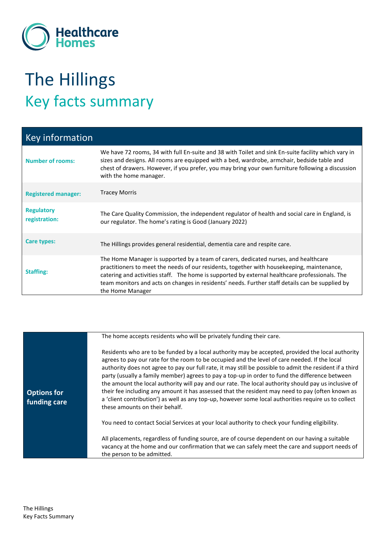

## The Hillings Key facts summary

| <b>Key information</b>             |                                                                                                                                                                                                                                                                                                                                                                                                            |
|------------------------------------|------------------------------------------------------------------------------------------------------------------------------------------------------------------------------------------------------------------------------------------------------------------------------------------------------------------------------------------------------------------------------------------------------------|
| <b>Number of rooms:</b>            | We have 72 rooms, 34 with full En-suite and 38 with Toilet and sink En-suite facility which vary in<br>sizes and designs. All rooms are equipped with a bed, wardrobe, armchair, bedside table and<br>chest of drawers. However, if you prefer, you may bring your own furniture following a discussion<br>with the home manager.                                                                          |
| <b>Registered manager:</b>         | <b>Tracey Morris</b>                                                                                                                                                                                                                                                                                                                                                                                       |
| <b>Regulatory</b><br>registration: | The Care Quality Commission, the independent regulator of health and social care in England, is<br>our regulator. The home's rating is Good (January 2022)                                                                                                                                                                                                                                                 |
| Care types:                        | The Hillings provides general residential, dementia care and respite care.                                                                                                                                                                                                                                                                                                                                 |
| <b>Staffing:</b>                   | The Home Manager is supported by a team of carers, dedicated nurses, and healthcare<br>practitioners to meet the needs of our residents, together with housekeeping, maintenance,<br>catering and activities staff. The home is supported by external healthcare professionals. The<br>team monitors and acts on changes in residents' needs. Further staff details can be supplied by<br>the Home Manager |

|                                    | The home accepts residents who will be privately funding their care.                                                                                                                                                                                                                                                                                                                                                                                                                                                                                                                                                                                                                                                                                                   |
|------------------------------------|------------------------------------------------------------------------------------------------------------------------------------------------------------------------------------------------------------------------------------------------------------------------------------------------------------------------------------------------------------------------------------------------------------------------------------------------------------------------------------------------------------------------------------------------------------------------------------------------------------------------------------------------------------------------------------------------------------------------------------------------------------------------|
| <b>Options for</b><br>funding care | Residents who are to be funded by a local authority may be accepted, provided the local authority<br>agrees to pay our rate for the room to be occupied and the level of care needed. If the local<br>authority does not agree to pay our full rate, it may still be possible to admit the resident if a third<br>party (usually a family member) agrees to pay a top-up in order to fund the difference between<br>the amount the local authority will pay and our rate. The local authority should pay us inclusive of<br>their fee including any amount it has assessed that the resident may need to pay (often known as<br>a 'client contribution') as well as any top-up, however some local authorities require us to collect<br>these amounts on their behalf. |
|                                    | You need to contact Social Services at your local authority to check your funding eligibility.                                                                                                                                                                                                                                                                                                                                                                                                                                                                                                                                                                                                                                                                         |
|                                    | All placements, regardless of funding source, are of course dependent on our having a suitable<br>vacancy at the home and our confirmation that we can safely meet the care and support needs of<br>the person to be admitted.                                                                                                                                                                                                                                                                                                                                                                                                                                                                                                                                         |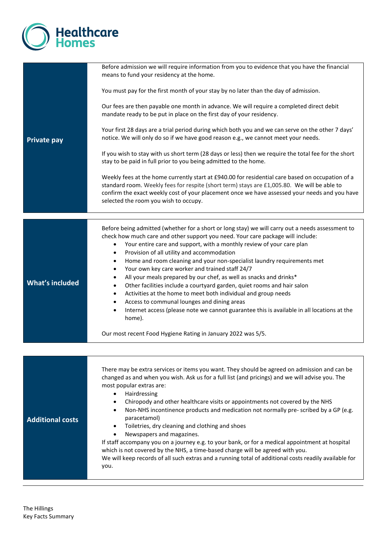

| <b>Private pay</b>      | Before admission we will require information from you to evidence that you have the financial<br>means to fund your residency at the home.<br>You must pay for the first month of your stay by no later than the day of admission.<br>Our fees are then payable one month in advance. We will require a completed direct debit<br>mandate ready to be put in place on the first day of your residency.<br>Your first 28 days are a trial period during which both you and we can serve on the other 7 days'<br>notice. We will only do so if we have good reason e.g., we cannot meet your needs.<br>If you wish to stay with us short term (28 days or less) then we require the total fee for the short<br>stay to be paid in full prior to you being admitted to the home.<br>Weekly fees at the home currently start at £940.00 for residential care based on occupation of a<br>standard room. Weekly fees for respite (short term) stays are £1,005.80. We will be able to<br>confirm the exact weekly cost of your placement once we have assessed your needs and you have<br>selected the room you wish to occupy. |
|-------------------------|----------------------------------------------------------------------------------------------------------------------------------------------------------------------------------------------------------------------------------------------------------------------------------------------------------------------------------------------------------------------------------------------------------------------------------------------------------------------------------------------------------------------------------------------------------------------------------------------------------------------------------------------------------------------------------------------------------------------------------------------------------------------------------------------------------------------------------------------------------------------------------------------------------------------------------------------------------------------------------------------------------------------------------------------------------------------------------------------------------------------------|
|                         |                                                                                                                                                                                                                                                                                                                                                                                                                                                                                                                                                                                                                                                                                                                                                                                                                                                                                                                                                                                                                                                                                                                            |
| <b>What's included</b>  | Before being admitted (whether for a short or long stay) we will carry out a needs assessment to<br>check how much care and other support you need. Your care package will include:<br>Your entire care and support, with a monthly review of your care plan<br>٠<br>Provision of all utility and accommodation<br>٠<br>Home and room cleaning and your non-specialist laundry requirements met<br>٠<br>Your own key care worker and trained staff 24/7<br>$\bullet$<br>All your meals prepared by our chef, as well as snacks and drinks*<br>$\bullet$<br>Other facilities include a courtyard garden, quiet rooms and hair salon<br>٠<br>Activities at the home to meet both individual and group needs<br>٠<br>Access to communal lounges and dining areas<br>٠<br>Internet access (please note we cannot guarantee this is available in all locations at the<br>home).<br>Our most recent Food Hygiene Rating in January 2022 was 5/5.                                                                                                                                                                                 |
|                         |                                                                                                                                                                                                                                                                                                                                                                                                                                                                                                                                                                                                                                                                                                                                                                                                                                                                                                                                                                                                                                                                                                                            |
| <b>Additional costs</b> | There may be extra services or items you want. They should be agreed on admission and can be<br>changed as and when you wish. Ask us for a full list (and pricings) and we will advise you. The<br>most popular extras are:<br>Hairdressing<br>$\bullet$<br>Chiropody and other healthcare visits or appointments not covered by the NHS<br>٠<br>Non-NHS incontinence products and medication not normally pre-scribed by a GP (e.g.<br>paracetamol)<br>Toiletries, dry cleaning and clothing and shoes<br>Newspapers and magazines.<br>If staff accompany you on a journey e.g. to your bank, or for a medical appointment at hospital<br>which is not covered by the NHS, a time-based charge will be agreed with you.<br>We will keep records of all such extras and a running total of additional costs readily available for<br>you.                                                                                                                                                                                                                                                                                  |